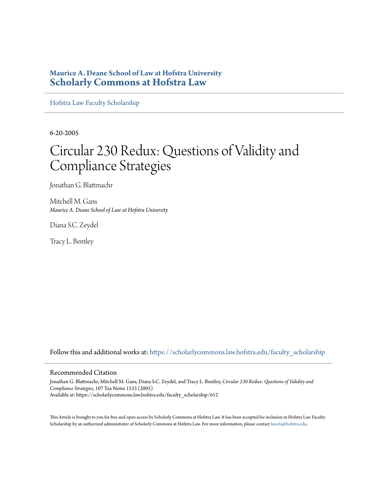### **Maurice A. Deane School of Law at Hofstra University [Scholarly Commons at Hofstra Law](https://scholarlycommons.law.hofstra.edu?utm_source=scholarlycommons.law.hofstra.edu%2Ffaculty_scholarship%2F612&utm_medium=PDF&utm_campaign=PDFCoverPages)**

[Hofstra Law Faculty Scholarship](https://scholarlycommons.law.hofstra.edu/faculty_scholarship?utm_source=scholarlycommons.law.hofstra.edu%2Ffaculty_scholarship%2F612&utm_medium=PDF&utm_campaign=PDFCoverPages)

6-20-2005

# Circular 230 Redux: Questions of Validity and Compliance Strategies

Jonathan G. Blattmachr

Mitchell M. Gans *Maurice A. Deane School of Law at Hofstra University*

Diana S.C. Zeydel

Tracy L. Bentley

Follow this and additional works at: [https://scholarlycommons.law.hofstra.edu/faculty\\_scholarship](https://scholarlycommons.law.hofstra.edu/faculty_scholarship?utm_source=scholarlycommons.law.hofstra.edu%2Ffaculty_scholarship%2F612&utm_medium=PDF&utm_campaign=PDFCoverPages)

#### Recommended Citation

Jonathan G. Blattmachr, Mitchell M. Gans, Diana S.C. Zeydel, and Tracy L. Bentley, *Circular 230 Redux: Questions of Validity and Compliance Strategies*, 107 Tax Notes 1533 (2005) Available at: https://scholarlycommons.law.hofstra.edu/faculty\_scholarship/612

This Article is brought to you for free and open access by Scholarly Commons at Hofstra Law. It has been accepted for inclusion in Hofstra Law Faculty Scholarship by an authorized administrator of Scholarly Commons at Hofstra Law. For more information, please contact [lawcls@hofstra.edu](mailto:lawcls@hofstra.edu).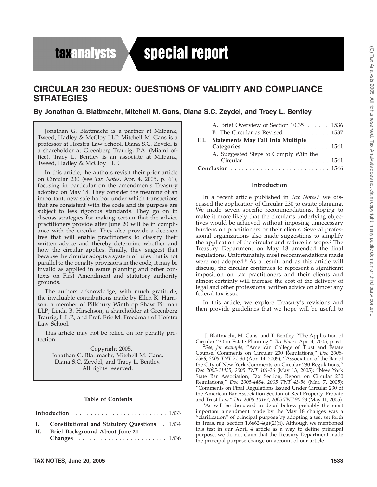## **taxanalysts**

# special report

### **CIRCULAR 230 REDUX: QUESTIONS OF VALIDITY AND COMPLIANCE STRATEGIES**

**By Jonathan G. Blattmachr, Mitchell M. Gans, Diana S.C. Zeydel, and Tracy L. Bentley**

Jonathan G. Blattmachr is a partner at Milbank, Tweed, Hadley & McCloy LLP. Mitchell M. Gans is a professor at Hofstra Law School. Diana S.C. Zeydel is a shareholder at Greenberg Traurig, P.A. (Miami office). Tracy L. Bentley is an associate at Milbank, Tweed, Hadley & McCloy LLP.

In this article, the authors revisit their prior article on Circular 230 (see *Tax Notes,* Apr. 4, 2005, p. 61), focusing in particular on the amendments Treasury adopted on May 18. They consider the meaning of an important, new safe harbor under which transactions that are consistent with the code and its purpose are subject to less rigorous standards. They go on to discuss strategies for making certain that the advice practitioners provide after June 20 will be in compliance with the circular. They also provide a decision tree that will enable practitioners to classify their written advice and thereby determine whether and how the circular applies. Finally, they suggest that because the circular adopts a system of rules that is not parallel to the penalty provisions in the code, it may be invalid as applied in estate planning and other contexts on First Amendment and statutory authority grounds.

The authors acknowledge, with much gratitude, the invaluable contributions made by Ellen K. Harrison, a member of Pillsbury Winthrop Shaw Pittman LLP; Linda B. Hirschson, a shareholder at Greenberg Traurig, L.L.P.; and Prof. Eric M. Freedman of Hofstra Law School.

This article may not be relied on for penalty protection.

Copyright 2005. Jonathan G. Blattmachr, Mitchell M. Gans, Diana S.C. Zeydel, and Tracy L. Bentley. All rights reserved.

#### **Table of Contents**

| I. Constitutional and Statutory Questions . 1534 |  |
|--------------------------------------------------|--|
| II. Brief Background About June 21               |  |
|                                                  |  |

|    | A. Brief Overview of Section 10.35 1536                       |  |
|----|---------------------------------------------------------------|--|
|    | B. The Circular as Revised $\ldots \ldots \ldots \ldots 1537$ |  |
| Ш. | <b>Statements May Fall Into Multiple</b>                      |  |
|    |                                                               |  |
|    | A. Suggested Steps to Comply With the                         |  |
|    |                                                               |  |
|    |                                                               |  |
|    |                                                               |  |

#### **Introduction**

In a recent article published in *Tax Notes*, <sup>1</sup> we discussed the application of Circular 230 to estate planning. We made seven specific recommendations, hoping to make it more likely that the circular's underlying objectives would be achieved without imposing unnecessary burdens on practitioners or their clients. Several professional organizations also made suggestions to simplify the application of the circular and reduce its scope.2 The Treasury Department on May 18 amended the final regulations. Unfortunately, most recommendations made were not adopted.3 As a result, and as this article will discuss, the circular continues to represent a significant imposition on tax practitioners and their clients and almost certainly will increase the cost of the delivery of legal and other professional written advice on almost any federal tax issue.

In this article, we explore Treasury's revisions and then provide guidelines that we hope will be useful to

<sup>&</sup>lt;sup>1</sup>J. Blattmachr, M. Gans, and T. Bentley, "The Application of Circular 230 in Estate Planning,'' *Tax Notes,* Apr. 4, 2005, p. 61. <sup>2</sup>

*See, for example,* ''American College of Trust and Estate Counsel Comments on Circular 230 Regulations,'' *Doc 2005- 7566, 2005 TNT 71-30* (Apr. 14, 2005); ''Association of the Bar of the City of New York Comments on Circular 230 Regulations,'' *Doc 2005-11435, 2005 TNT 101-26* (May 13, 2005); ''New York State Bar Association, Tax Section, Report on Circular 230 Regulations,'' *Doc 2005-4484, 2005 TNT 43-56* (Mar. 7, 2005); ''Comments on Final Regulations Issued Under Circular 230 of the American Bar Association Section of Real Property, Probate and Trust Law,'' *Doc 2005-10167, 2005 TNT 90-23* (May 11, 2005). <sup>3</sup>

 $3$ As will be discussed in detail below, probably the most important amendment made by the May 18 changes was a ''clarification'' of principal purpose by adopting a test set forth in Treas. reg. section  $1.6662-4(g)(2)(ii)$ . Although we mentioned this test in our April 4 article as a way to define principal purpose, we do not claim that the Treasury Department made the principal purpose change on account of our article.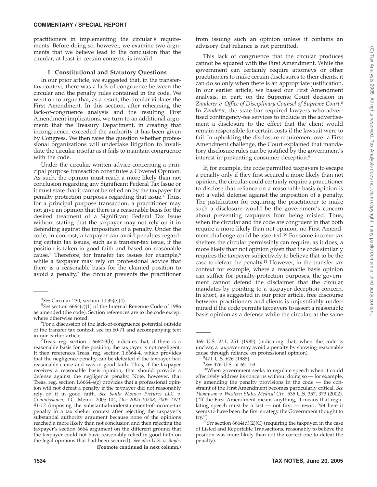practitioners in implementing the circular's requirements. Before doing so, however, we examine two arguments that we believe lead to the conclusion that the circular, at least in certain contexts, is invalid.

#### **I. Constitutional and Statutory Questions**

In our prior article, we suggested that, in the transfertax context, there was a lack of congruence between the circular and the penalty rules contained in the code. We went on to argue that, as a result, the circular violates the First Amendment. In this section, after rehearsing the lack-of-congruence analysis and the resulting First Amendment implications, we turn to an additional argument: that the Treasury Department, in creating that incongruence, exceeded the authority it has been given by Congress. We then raise the question whether professional organizations will undertake litigation to invalidate the circular insofar as it fails to maintain congruence with the code.

Under the circular, written advice concerning a principal purpose transaction constitutes a Covered Opinion. As such, the opinion must reach a more likely than not conclusion regarding any Significant Federal Tax Issue or it must state that it cannot be relied on by the taxpayer for penalty protection purposes regarding that issue.4 Thus, for a principal purpose transaction, a practitioner may not give an opinion that there is a reasonable basis for the desired treatment of a Significant Federal Tax Issue without stating that the taxpayer may not rely on it in defending against the imposition of a penalty. Under the code, in contrast, a taxpayer can avoid penalties regarding certain tax issues, such as a transfer-tax issue, if the position is taken in good faith and based on reasonable cause.<sup>5</sup> Therefore, for transfer tax issues for example, $6$ while a taxpayer may rely on professional advice that there is a reasonable basis for the claimed position to avoid a penalty, $7$  the circular prevents the practitioner

from issuing such an opinion unless it contains an advisory that reliance is not permitted.

This lack of congruence that the circular produces cannot be squared with the First Amendment. While the government can certainly require attorneys or other practitioners to make certain disclosures to their clients, it can do so only when there is an appropriate justification. In our earlier article, we based our First Amendment analysis, in part, on the Supreme Court decision in *Zauderer v. Office of Disciplinary Counsel of Supreme Court.*<sup>8</sup> In *Zauderer*, the state bar required lawyers who advertised contingency-fee services to include in the advertisement a disclosure to the effect that the client would remain responsible for certain costs if the lawsuit were to fail. In upholding the disclosure requirement over a First Amendment challenge, the Court explained that mandatory disclosure rules can be justified by the government's interest in preventing consumer deception.<sup>9</sup>

If, for example, the code permitted taxpayers to escape a penalty only if they first secured a more likely than not opinion, the circular could certainly require a practitioner to disclose that reliance on a reasonable basis opinion is not a valid defense against the imposition of a penalty. The justification for requiring the practitioner to make such a disclosure would be the government's concern about preventing taxpayers from being misled. Thus, when the circular and the code are congruent in that both require a more likely than not opinion, no First Amendment challenge could be asserted.<sup>10</sup> For some income-tax shelters the circular permissibly can require, as it does, a more likely than not opinion given that the code similarly requires the taxpayer subjectively to believe that to be the case to defeat the penalty.11 However, in the transfer tax context for example, where a reasonable basis opinion can suffice for penalty-protection purposes, the government cannot defend the disclaimer that the circular mandates by pointing to a taxpayer-deception concern. In short, as suggested in our prior article, free discourse between practitioners and clients is unjustifiably undermined if the code permits taxpayers to assert a reasonable basis opinion as a defense while the circular, at the same

<sup>&</sup>lt;sup>4</sup>See Circular 230, section  $10.35(e)(4)$ .<br><sup>5</sup>See section 6664(c)(1) of the Internal

*See* section 6664(c)(1) of the Internal Revenue Code of 1986 as amended (the code). Section references are to the code except where otherwise noted.

For a discussion of the lack-of-congruence potential outside of the transfer tax context, see nn.60-71 and accompanying text in our earlier article.

 $7$ Treas. reg. section 1.6662-3(b) indicates that, if there is a reasonable basis for the position, the taxpayer is not negligent. It then references Treas. reg. section 1.6664-4, which provides that the negligence penalty can be defeated if the taxpayer had reasonable cause and was in good faith. Thus, if the taxpayer receives a reasonable basis opinion, that should provide a defense against the negligence penalty. Note, however, that Treas. reg. section 1.6664-4(c) provides that a professional opinion will not defeat a penalty if the taxpayer did not reasonably rely on it in good faith. *See Santa Monica Pictures LLC v. Commissioner,* T.C. Memo. 2005-104, *Doc 2005-10308, 2005 TNT 91-12* (imposing the substantial-understatement-of-income-tax penalty in a tax shelter context after rejecting the taxpayer's substantial authority argument because none of the opinions reached a more likely than not conclusion and then rejecting the taxpayer's section 6664 argument on the different ground that the taxpayer could not have reasonably relied in good faith on the legal opinions that had been secured). *See also U.S. v. Boyle,* **(Footnote continued in next column.)**

<sup>469</sup> U.S. 241, 251 (1985) (indicating that, when the code is unclear, a taxpayer may avoid a penalty by showing reasonable cause through reliance on professional opinion).

<sup>471</sup> U.S. 626 (1985).

<sup>&</sup>lt;sup>9</sup>See 476 U.S. at 651-53.

<sup>&</sup>lt;sup>10</sup>When government seeks to regulate speech when it could effectively address its concerns without doing so — for example, by amending the penalty provisions in the code — the constraint of the First Amendment becomes particularly critical. *See Thompson v. Western States Medical Ctr.,* 535 U.S. 357, 373 (2002). (''If the First Amendment means anything, it means that regulating speech must be a last — not first — resort. Yet here it seems to have been the first strategy the Government thought to

try.")<br><sup>11</sup>*See* section 6664(d)(2)(C) (requiring the taxpayer, in the case<br>times reasonably to believe the of Listed and Reportable Transactions, reasonably to believe the position was more likely than not the correct one to defeat the penalty).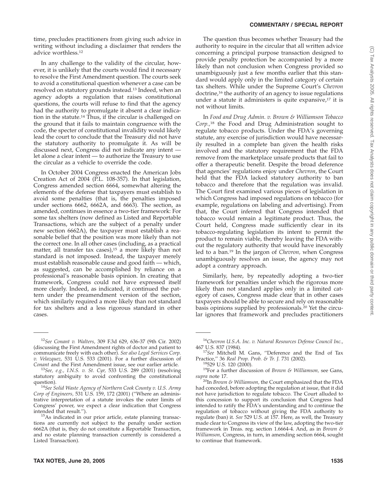time, precludes practitioners from giving such advice in writing without including a disclaimer that renders the advice worthless.12

In any challenge to the validity of the circular, however, it is unlikely that the courts would find it necessary to resolve the First Amendment question. The courts seek to avoid a constitutional question whenever a case can be resolved on statutory grounds instead.13 Indeed, when an agency adopts a regulation that raises constitutional questions, the courts will refuse to find that the agency had the authority to promulgate it absent a clear indication in the statute.<sup>14</sup> Thus, if the circular is challenged on the ground that it fails to maintain congruence with the code, the specter of constitutional invalidity would likely lead the court to conclude that the Treasury did not have the statutory authority to promulgate it. As will be discussed next, Congress did not indicate any intent let alone a clear intent — to authorize the Treasury to use the circular as a vehicle to override the code.

In October 2004 Congress enacted the American Jobs Creation Act of 2004 (P.L. 108-357). In that legislation, Congress amended section 6664, somewhat altering the elements of the defense that taxpayers must establish to avoid some penalties (that is, the penalties imposed under sections 6662, 6662A, and 6663). The section, as amended, continues in essence a two-tier framework: For some tax shelters (now defined as Listed and Reportable Transactions, which are the subject of a penalty under new section 6662A), the taxpayer must establish a reasonable belief that the position was more likely than not the correct one. In all other cases (including, as a practical matter, all transfer tax cases), $15$  a more likely than not standard is not imposed. Instead, the taxpayer merely must establish reasonable cause and good faith — which, as suggested, can be accomplished by reliance on a professional's reasonable basis opinion. In creating that framework, Congress could not have expressed itself more clearly. Indeed, as indicated, it continued the pattern under the preamendment version of the section, which similarly required a more likely than not standard for tax shelters and a less rigorous standard in other cases.

The question thus becomes whether Treasury had the authority to require in the circular that all written advice concerning a principal purpose transaction designed to provide penalty protection be accompanied by a more likely than not conclusion when Congress provided so unambiguously just a few months earlier that this standard would apply only in the limited category of certain tax shelters. While under the Supreme Court's *Chevron* doctrine,<sup>16</sup> the authority of an agency to issue regulations under a statute it administers is quite expansive, $17$  it is not without limits.

In *Food and Drug Admin. v. Brown & Williamson Tobacco Corp.,*<sup>18</sup> the Food and Drug Administration sought to regulate tobacco products. Under the FDA's governing statute, any exercise of jurisdiction would have necessarily resulted in a complete ban given the health risks involved and the statutory requirement that the FDA remove from the marketplace unsafe products that fail to offer a therapeutic benefit. Despite the broad deference that agencies' regulations enjoy under *Chevron*, the Court held that the FDA lacked statutory authority to ban tobacco and therefore that the regulation was invalid. The Court first examined various pieces of legislation in which Congress had imposed regulations on tobacco (for example, regulations on labeling and advertising). From that, the Court inferred that Congress intended that tobacco would remain a legitimate product. Thus, the Court held, Congress made sufficiently clear in its tobacco-regulating legislation its intent to permit the product to remain viable, thereby leaving the FDA without the regulatory authority that would have inexorably led to a ban.19 In the jargon of *Chevron,* when Congress unambiguously resolves an issue, the agency may not adopt a contrary approach.

Similarly, here, by repeatedly adopting a two-tier framework for penalties under which the rigorous more likely than not standard applies only in a limited category of cases, Congress made clear that in other cases taxpayers should be able to secure and rely on reasonable basis opinions supplied by professionals.20 Yet the circular ignores that framework and precludes practitioners

<sup>12</sup>*See Conant v. Walters,* 309 F.3d 629, 636-37 (9th Cir. 2002) (discussing the First Amendment rights of doctor and patient to communicate freely with each other). *See also Legal Services Corp. v. Velazquez,* 531 U.S. 533 (2001). For a further discussion of

<sup>&</sup>lt;sup>13</sup>See, e.g., I.N.S. v. St. Cyr, 533 U.S. 289 (2001) (resolving statutory ambiguity to avoid confronting the constitutional

question). <sup>14</sup>*See Solid Waste Agency of Northern Cook County v. U.S. Army Corp of Engineers,* 531 U.S. 159, 172 (2001) (''Where an administrative interpretation of a statute invokes the outer limits of Congress' power, we expect a clear indication that Congress

 $15As$  indicated in our prior article, estate planning transactions are currently not subject to the penalty under section 6662A (that is, they do not constitute a Reportable Transaction, and no estate planning transaction currently is considered a Listed Transaction).

<sup>16</sup>*Chevron U.S.A. Inc. v. Natural Resources Defense Council Inc.,*

<sup>&</sup>lt;sup>17</sup>See Mitchell M. Gans, "Deference and the End of Tax Practice," 36 Real Prop. Prob. & Tr. J. 731 (2002).

<sup>&</sup>lt;sup>18</sup>529 U.S. 120 (2000).<br><sup>19</sup>For a further discussion of *Brown & Williamson*, see Gans,

*supra* note 17. 20In *Brown & Williamson,* the Court emphasized that the FDA had conceded, before adopting the regulation at issue, that it did not have jurisdiction to regulate tobacco. The Court alluded to this concession to support its conclusion that Congress had intended to ratify the FDA's understanding and to continue the regulation of tobacco without giving the FDA authority to regulate (ban) it. *See* 529 U.S. at 157. Here, as well, the Treasury made clear to Congress its view of the law, adopting the two-tier framework in Treas. reg. section 1.6664-4. And, as in *Brown & Williamson,* Congress, in turn, in amending section 6664, sought to continue that framework.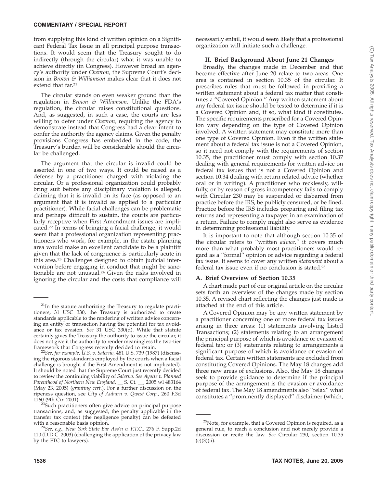from supplying this kind of written opinion on a Significant Federal Tax Issue in all principal purpose transactions. It would seem that the Treasury sought to do indirectly (through the circular) what it was unable to achieve directly (in Congress). However broad an agency's authority under *Chevron,* the Supreme Court's decision in *Brown & Williamson* makes clear that it does not extend that far.<sup>21</sup>

The circular stands on even weaker ground than the regulation in *Brown & Williamson.* Unlike the FDA's regulation, the circular raises constitutional questions. And, as suggested, in such a case, the courts are less willing to defer under *Chevron,* requiring the agency to demonstrate instead that Congress had a clear intent to confer the authority the agency claims. Given the penalty provisions Congress has embedded in the code, the Treasury's burden will be considerable should the circular be challenged.

The argument that the circular is invalid could be asserted in one of two ways. It could be raised as a defense by a practitioner charged with violating the circular. Or a professional organization could probably bring suit before any disciplinary violation is alleged, claiming that it is invalid on its face (as opposed to an argument that it is invalid as applied to a particular practitioner). While facial challenges can be problematic and perhaps difficult to sustain, the courts are particularly receptive when First Amendment issues are implicated.22 In terms of bringing a facial challenge, it would seem that a professional organization representing practitioners who work, for example, in the estate planning area would make an excellent candidate to be a plaintiff given that the lack of congruence is particularly acute in this area.23 Challenges designed to obtain judicial intervention before engaging in conduct that might be sanctionable are not unusual.24 Given the risks involved in ignoring the circular and the costs that compliance will

necessarily entail, it would seem likely that a professional organization will initiate such a challenge.

#### **II. Brief Background About June 21 Changes**

Broadly, the changes made in December and that become effective after June 20 relate to two areas. One area is contained in section 10.35 of the circular. It prescribes rules that must be followed in providing a written statement about a federal tax matter that constitutes a ''Covered Opinion.'' Any written statement about any federal tax issue should be tested to determine if it is a Covered Opinion and, if so, what kind it constitutes. The specific requirements prescribed for a Covered Opinion vary depending on the type of Covered Opinion involved. A written statement may constitute more than one type of Covered Opinion. Even if the written statement about a federal tax issue is not a Covered Opinion, so it need not comply with the requirements of section 10.35, the practitioner must comply with section 10.37 dealing with general requirements for written advice on federal tax issues that is not a Covered Opinion and section 10.34 dealing with return related advice (whether oral or in writing). A practitioner who recklessly, willfully, or by reason of gross incompetency fails to comply with Circular 230 may be suspended or disbarred from practice before the IRS, be publicly censured, or be fined. Practice before the IRS includes preparing and filing tax returns and representing a taxpayer in an examination of a return. Failure to comply might also serve as evidence in determining professional liability.

It is important to note that although section 10.35 of the circular refers to ''written *advice,''* it covers much more than what probably most practitioners would regard as a ''formal'' opinion or advice regarding a federal tax issue. It seems to cover any written *statement* about a federal tax issue even if no conclusion is stated.25

#### **A. Brief Overview of Section 10.35**

A chart made part of our original article on the circular sets forth an overview of the changes made by section 10.35. A revised chart reflecting the changes just made is attached at the end of this article.

A Covered Opinion may be any written statement by a practitioner concerning one or more federal tax issues arising in three areas: (1) statements involving Listed Transactions; (2) statements relating to an arrangement the principal purpose of which is avoidance or evasion of federal tax; or (3) statements relating to arrangements a significant purpose of which is avoidance or evasion of federal tax. Certain written statements are excluded from constituting Covered Opinions. The May 18 changes add three new areas of exclusions. Also, the May 18 changes seek to provide guidance to determine if the principal purpose of the arrangement is the evasion or avoidance of federal tax. The May 18 amendments also ''relax'' what constitutes a ''prominently displayed'' disclaimer (which,

 $21$ In the statute authorizing the Treasury to regulate practitioners, 31 USC 330, the Treasury is authorized to create standards applicable to the rendering of written advice concerning an entity or transaction having the potential for tax avoidance or tax evasion. *See* 31 USC 330(d). While that statute certainly gives the Treasury the authority to issue the circular, it does not give it the authority to render meaningless the two-tier framework that Congress recently decided to retain.

<sup>&</sup>lt;sup>22</sup>See, for example, U.S. v. Salerno, 481 U.S. 739 (1987) (discussing the rigorous standards employed by the courts when a facial challenge is brought if the First Amendment is not implicated). It should be noted that the Supreme Court just recently decided to review the continuing viability of *Salerno. See Ayotte v. Planned Parenthood of Northern New England,* \_\_ S. Ct. \_\_, 2005 wl 483164 (May 23, 2005) (*granting cert.*). For a further discussion on the ripeness question, see *City of Auburn v. Qwest Corp.,* 260 F.3d

<sup>&</sup>lt;sup>23</sup>Such practitioners often give advice on principal purpose transactions, and, as suggested, the penalty applicable in the transfer tax context (the negligence penalty) can be defeated

with a reasonable basis opinion. <sup>24</sup>*See, e.g., New York State Bar Ass'n v. F.T.C.,* 276 F. Supp.2d 110 (D.D.C. 2003) (challenging the application of the privacy law by the FTC to lawyers).

 $25$ Note, for example, that a Covered Opinion is required, as a general rule, to reach a conclusion and not merely provide a discussion or recite the law. *See* Circular 230, section 10.35  $(c)(3)(ii)$ .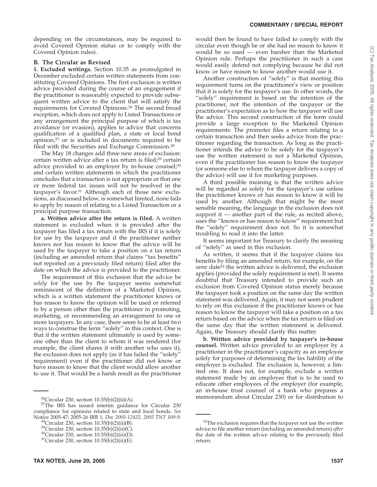depending on the circumstances, may be required to avoid Covered Opinion status or to comply with the Covered Opinion rules).

#### **B. The Circular as Revised**

**1. Excluded writings.** Section 10.35 as promulgated in December excluded certain written statements from constituting Covered Opinions. The first exclusion is written advice provided during the course of an engagement if the practitioner is reasonably expected to provide subsequent written advice to the client that will satisfy the requirements for Covered Opinions.26 The second broad exception, which does not apply to Listed Transactions or any arrangement the principal purpose of which is tax avoidance (or evasion), applies to advice that concerns qualification of a qualified plan, a state or local bond opinion,27 or is included in documents required to be filed with the Securities and Exchange Commission.28

The May 18 changes add three new areas of exclusion: certain written advice after a tax return is filed;29 certain advice provided to an employer by in-house counsel;<sup>30</sup> and certain written statements in which the practitioner concludes that a transaction is not appropriate or that one or more federal tax issues will not be resolved in the taxpayer's favor.31 Although each of those new exclusions, as discussed below, is somewhat limited, none fails to apply by reason of relating to a Listed Transaction or a principal purpose transaction.

**a. Written advice after the return is filed.** A written statement is excluded when it is provided after the taxpayer has filed a tax return with the IRS if it is solely for use by the taxpayer and if the practitioner neither knows nor has reason to know that the advice will be used by the taxpayer to take a position on a tax return (including an amended return that claims ''tax benefits'' not reported on a previously filed return) filed after the date on which the advice is provided to the practitioner.

The requirement of this exclusion that the advice be *solely* for the use by the taxpayer seems somewhat reminiscent of the definition of a Marketed Opinion, which is a written statement the practitioner knows or has reason to know the opinion will be used or referred to by a person other than the practitioner in promoting, marketing, or recommending an arrangement to one or more taxpayers. In any case, there seem to be at least two ways to construe the term ''solely'' in this context. One is that if the written statement ultimately is used by someone other than the client to whom it was rendered (for example, the client shares it with another who uses it), the exclusion does not apply (as it has failed the ''solely'' requirement) even if the practitioner did not know or have reason to know that the client would allow another to use it. That would be a harsh result as the practitioner

would then be found to have failed to comply with the circular even though he or she had no reason to know it would be so used  $-$  even harsher than the Marketed Opinion rule. Perhaps the practitioner in such a case would easily defend not complying because he did not know or have reason to know another would use it.

Another construction of ''solely'' is that meeting this requirement turns on the practitioner's view or position that it is solely for the taxpayer's use. In other words, the "solely" requirement is based on the intention of the practitioner, not the intention of the taxpayer or the practitioner's expectation as to how the taxpayer will use the advice. This second construction of the term could provide a large exception to the Marketed Opinion requirements: The promoter files a return relating to a certain transaction and then seeks advice from the practitioner regarding the transaction. As long as the practitioner intends the advice to be solely for the taxpayer's use the written statement is not a Marketed Opinion, even if the practitioner has reason to know the taxpayer (or someone else to whom the taxpayer delivers a copy of the advice) will use it for marketing purposes.

A third possible meaning is that the written advice will be regarded as solely for the taxpayer's use unless the practitioner knows or has reason to know it will be used by another. Although that might be the most sensible meaning, the language in the exclusion does not support it — another part of the rule, as recited above, uses the ''knows or has reason to know'' requirement but the ''solely'' requirement does not. So it is somewhat troubling to read it into the latter.

It seems important for Treasury to clarify the meaning of ''solely'' as used in this exclusion.

As written, it seems that if the taxpayer claims tax benefits by filing an amended return, for example, on the *same* date32 the written advice is delivered, the exclusion applies (provided the solely requirement is met). It seems doubtful that Treasury intended to provide such an exclusion from Covered Opinion status merely because the taxpayer took a position on the same day the written statement was delivered. Again, it may not seem prudent to rely on this exclusion if the practitioner knows or has reason to know the taxpayer will take a position on a tax return based on the advice when the tax return is filed on the same day that the written statement is delivered. Again, the Treasury should clarify this matter.

**b. Written advice provided by taxpayer's in-house counsel.** Written advice provided to an employer by a practitioner in the practitioner's capacity as an employee solely for purposes of determining the tax liability of the employer is excluded. The exclusion is, however, a limited one. It does not, for example, exclude a written statement made by an employee that is to be used to educate other employees of the employer (for example, an in-house trust counsel of a bank who prepares a  $^{26}$ Circular 230, section 10.35(b)(2)(ii)(A). The IRS has issued interim guidance for Circular 230 and  $^{27}$ The IRS has issued interim guidance for Circular 230

compliance for opinions related to state and local bonds. *See*

<sup>&</sup>lt;sup>28</sup>Circular 230, section 10.35(b)(2)(ii)(B).<br><sup>29</sup>Circular 230, section 10.35(b)(2)(ii)(C).<br><sup>30</sup>Circular 230, section 10.35(b)(2)(ii)(D).<br><sup>31</sup>Circular 230, section 10.35(b)(2)(ii)(E).

<sup>&</sup>lt;sup>32</sup>The exclusion requires that the taxpayer not use the written advice to file another return (including an amended return) *after* the date of the written advice relating to the previously filed return.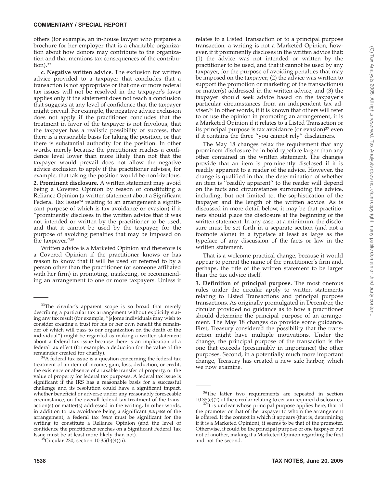others (for example, an in-house lawyer who prepares a brochure for her employer that is a charitable organization about how donors may contribute to the organization and that mentions tax consequences of the contribution).33

**c. Negative written advice.** The exclusion for written advice provided to a taxpayer that concludes that a transaction is not appropriate or that one or more federal tax issues will not be resolved in the taxpayer's favor applies only if the statement does not reach a conclusion that suggests at any level of confidence that the taxpayer might prevail. For example, the negative advice exclusion does not apply if the practitioner concludes that the treatment in favor of the taxpayer is not frivolous, that the taxpayer has a realistic possibility of success, that there is a reasonable basis for taking the position, or that there is substantial authority for the position. In other words, merely because the practitioner reaches a confidence level lower than more likely than not that the taxpayer would prevail does not allow the negative advice exclusion to apply if the practitioner advises, for example, that taking the position would be nonfrivolous. **2. Prominent disclosure.** A written statement may avoid being a Covered Opinion by reason of constituting a Reliance Opinion (a written statement about a Significant Federal Tax Issue<sup>34</sup> relating to an arrangement a significant purpose of which is tax avoidance or evasion) if it ''prominently discloses in the written advice that it was not intended or written by the practitioner to be used, and that it cannot be used by the taxpayer, for the purpose of avoiding penalties that may be imposed on the taxpayer.''35

Written advice is a Marketed Opinion and therefore is a Covered Opinion if the practitioner knows or has reason to know that it will be used or referred to by a person other than the practitioner (or someone affiliated with her firm) in promoting, marketing, or recommending an arrangement to one or more taxpayers. Unless it relates to a Listed Transaction or to a principal purpose transaction, a writing is not a Marketed Opinion, however, if it prominently discloses in the written advice that: (1) the advice was not intended or written by the practitioner to be used, and that it cannot be used by any taxpayer, for the purpose of avoiding penalties that may be imposed on the taxpayer; (2) the advice was written to support the promotion or marketing of the transaction(s) or matter(s) addressed in the written advice; and (3) the taxpayer should seek advice based on the taxpayer's particular circumstances from an independent tax adviser.36 In other words, if it is known that others will refer to or use the opinion in promoting an arrangement, it is a Marketed Opinion if it relates to a Listed Transaction or its principal purpose is tax avoidance (or evasion)<sup>37</sup> even if it contains the three ''you cannot rely'' disclaimers.

The May 18 changes relax the requirement that any prominent disclosure be in bold typeface larger than any other contained in the written statement. The changes provide that an item is prominently disclosed if it is readily apparent to a reader of the advice. However, the change is qualified in that the determination of whether an item is ''readily apparent'' to the reader will depend on the facts and circumstances surrounding the advice, including, but not limited to, the sophistication of the taxpayer and the length of the written advice. As is discussed in more detail below, it may be that practitioners should place the disclosure at the beginning of the written statement. In any case, at a minimum, the disclosure must be set forth in a separate section (and not a footnote alone) in a typeface at least as large as the typeface of any discussion of the facts or law in the written statement.

That is a welcome practical change, because it would appear to permit the name of the practitioner's firm and, perhaps, the title of the written statement to be larger than the tax advice itself.

**3. Definition of principal purpose.** The most onerous rules under the circular apply to written statements relating to Listed Transactions and principal purpose transactions. As originally promulgated in December, the circular provided no guidance as to how a practitioner should determine the principal purpose of an arrangement. The May 18 changes do provide some guidance. First, Treasury considered the possibility that the transaction might have multiple motivations. Under the change, the principal purpose of the transaction is the one that exceeds (presumably in importance) the other purposes. Second, in a potentially much more important change, Treasury has created a new safe harbor, which we now examine.

<sup>&</sup>lt;sup>33</sup>The circular's apparent scope is so broad that merely describing a particular tax arrangement without explicitly stating any tax result (for example, ''[s]ome individuals may wish to consider creating a trust for his or her own benefit the remainder of which will pass to our organization on the death of the individual'') might be regarded as making a written statement about a federal tax issue because there is an implication of a federal tax effect (for example, a deduction for the value of the

remainder created for charity). 34A federal tax issue is a question concerning the federal tax treatment of an item of income, gain, loss, deduction, or credit, the existence or absence of a taxable transfer of property, or the value of property for federal tax purposes. A federal tax issue is significant if the IRS has a reasonable basis for a successful challenge and its resolution could have a significant impact, whether beneficial or adverse under any reasonably foreseeable circumstance, on the overall federal tax treatment of the transaction(s) or matter(s) addressed in the writing**.** In other words, in addition to tax avoidance being a significant *purpose* of the arrangement, a federal tax *issue* must be significant for the writing to constitute a Reliance Opinion (and the level of confidence the practitioner reaches on a Significant Federal Tax

Issue must be at least more likely than not).  $35$ Circular 230, section 10.35(b)(4)(ii).

<sup>&</sup>lt;sup>36</sup>The latter two requirements are repeated in section  $10.35(e)(2)$  of the circular relating to certain required disclosures. <sup>37</sup>It is unclear whose principal purpose applies here, that of

the promoter or that of the taxpayer to whom the arrangement is offered. It the context in which it appears (that is, determining if it is a Marketed Opinion), it seems to be that of the promoter. Otherwise, it could be the principal purpose of one taxpayer but not of another, making it a Marketed Opinion regarding the first and not the second.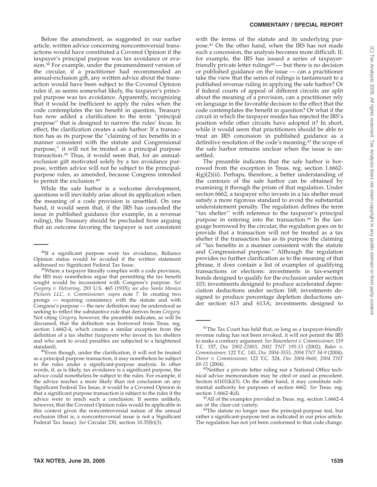Before the amendment, as suggested in our earlier article, written advice concerning noncontroversial transactions would have constituted a Covered Opinion if the taxpayer's principal purpose was tax avoidance or evasion.38 For example, under the preamendment version of the circular, if a practitioner had recommended an annual-exclusion gift, any written advice about the transaction would have been subject to the Covered Opinion rules if, as seems somewhat likely, the taxpayer's principal purpose was tax avoidance. Apparently, recognizing that it would be inefficient to apply the rules when the code contemplates the tax benefit in question, Treasury has now added a clarification to the term ''principal purpose'' that is designed to narrow the rules' focus. In effect, the clarification creates a safe harbor: If a transaction has as its purpose the ''claiming of tax benefits in a manner consistent with the statute and Congressional purpose,'' it will not be treated as a principal purpose transaction.39 Thus, it would seem that, for an annualexclusion gift motivated solely by a tax avoidance purpose, written advice will not be subject to the principalpurpose rules, as amended, because Congress intended to permit the exclusion.40

While the safe harbor is a welcome development, questions will inevitably arise about its application when the meaning of a code provision is unsettled. On one hand, it would seem that, if the IRS has conceded the issue in published guidance (for example, in a revenue ruling), the Treasury should be precluded from arguing that an outcome favoring the taxpayer is not consistent with the terms of the statute and its underlying purpose.41 On the other hand, when the IRS has not made such a concession, the analysis becomes more difficult. If, for example, the IRS has issued a series of taxpayerfriendly private letter rulings<sup>42</sup> — but there is no decision or published guidance on the issue — can a practitioner take the view that the series of rulings is tantamount to a published revenue ruling in applying the safe harbor? Or if federal courts of appeal of different circuits are split about the meaning of a provision, can a practitioner rely on language in the favorable decision to the effect that the code contemplates the benefit in question? Or what if the circuit in which the taxpayer resides has rejected the IRS's position while other circuits have adopted it? In short, while it would seem that practitioners should be able to treat an IRS concession in published guidance as a definitive resolution of the code's meaning,<sup>43</sup> the scope of the safe harbor remains unclear when the issue is unsettled.

The preamble indicates that the safe harbor is borrowed from the exception in Treas. reg. section 1.6662-  $4(g)(2)(ii)$ . Perhaps, therefore, a better understanding of the contours of the safe harbor can be obtained by examining it through the prism of that regulation. Under section 6662, a taxpayer who invests in a tax shelter must satisfy a more rigorous standard to avoid the substantial understatement penalty. The regulation defines the term "tax shelter" with reference to the taxpayer's principal purpose in entering into the transaction.<sup>44</sup> In the language borrowed by the circular, the regulation goes on to provide that a transaction will not be treated as a tax shelter if the transaction has as its purpose the claiming of ''tax benefits in a manner consistent with the statute and Congressional purpose.'' Although the regulation provides no further clarification as to the meaning of that phrase, it does contain a list of examples of qualifying transactions or elections: investments in tax-exempt bonds designed to qualify for the exclusion under section 103; investments designed to produce accelerated depreciation deductions under section 168; investments designed to produce percentage depletion deductions under section 613 and 613A; investments designed to

<sup>&</sup>lt;sup>38</sup>If a significant purpose were tax avoidance, Reliance Opinion status would be avoided if the written statement addressed no Significant Federal Tax Issue.<br><sup>39</sup>Where a taxpayer literally complies with a code provision,

the IRS may nonetheless argue that permitting the tax benefit sought would be inconsistent with Congress's purpose. *See Gregory v. Helvering,* 293 U.S. 465 (1935); *see also Santa Monica Pictures LLC, v. Commissioner, supra* note 7. In creating two prongs — requiring consistency with the statute and with Congress's purpose — the new definition may be understood as seeking to reflect the substantive rule that derives from *Gregory.* Not citing *Gregory,* however, the preamble indicates, as will be discussed, that the definition was borrowed from Treas. reg. section 1.6662-4, which creates a similar exception from the definition of a tax shelter (taxpayers who invest in tax shelters and who seek to avoid penalties are subjected to a heightened standard).<br><sup>40</sup>Even though, under the clarification, it will not be treated

as a principal purpose transaction, it may nonetheless be subject to the rules under a significant-purpose analysis. In other words, if, as is likely, tax avoidance is a significant purpose, the advice could nonetheless be subject to the rules. For example, if the advice reaches a more likely than not conclusion on any Significant Federal Tax Issue, it would be a Covered Opinion in that a significant purpose transaction is subject to the rules if the advice were to reach such a conclusion. It seems unlikely, however, that the Covered Opinion rules would be applicable in this context given the noncontroversial nature of the annual exclusion (that is, a noncontroversial issue is not a Significant Federal Tax Issue). *See* Circular 230, section 10.35(b)(3).

 $41$ The Tax Court has held that, as long as a taxpayer-friendly revenue ruling has not been revoked, it will not permit the IRS to make a contrary argument. *See Rauenhorst v. Commissioner,* 119 T.C. 157, *Doc 2002-22803, 2002 TNT 195-13* (2002); *Baker v. Commissioner,* 122 T.C. 143, *Doc 2004-3555, 2004 TNT 34-9* (2004); *Dover v. Commissioner,* 122 T.C. 324, *Doc 2004-9660, 2004 TNT*

<sup>&</sup>lt;sup>42</sup>Neither a private letter ruling nor a National Office technical advice memorandum may be cited or used as precedent. Section 61101(k)(3). On the other hand, it may constitute substantial authority for purposes of section 6662. *See* Treas. reg. section 1.6662-4(d).<br><sup>43</sup>All of the examples provided in Treas. reg. section 1.6662-4

are of the clear-cut variety. 44The statute no longer uses the principal-purpose test, but rather a significant-purpose test as indicated in our prior article. The regulation has not yet been conformed to that code change.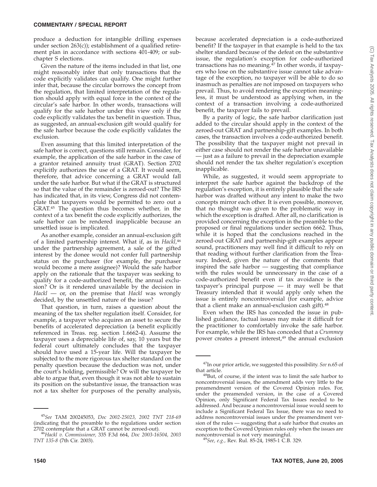produce a deduction for intangible drilling expenses under section 263(c)); establishment of a qualified retirement plan in accordance with sections 401-409; or subchapter S elections.

Given the nature of the items included in that list, one might reasonably infer that only transactions that the code explicitly validates can qualify. One might further infer that, because the circular borrows the concept from the regulation, that limited interpretation of the regulation should apply with equal force in the context of the circular's safe harbor. In other words, transactions will qualify for the safe harbor under this view only if the code explicitly validates the tax benefit in question. Thus, as suggested, an annual-exclusion gift would qualify for the safe harbor because the code explicitly validates the exclusion.

Even assuming that this limited interpretation of the safe harbor is correct, questions still remain. Consider, for example, the application of the safe harbor in the case of a grantor retained annuity trust (GRAT). Section 2702 explicitly authorizes the use of a GRAT. It would seem, therefore, that advice concerning a GRAT would fall under the safe harbor. But what if the GRAT is structured so that the value of the remainder is zeroed-out? The IRS has indicated that, in its view, Congress did not contemplate that taxpayers would be permitted to zero out a GRAT.45 The question thus becomes whether, in the context of a tax benefit the code explicitly authorizes, the safe harbor can be rendered inapplicable because an unsettled issue is implicated.

As another example, consider an annual-exclusion gift of a limited partnership interest. What if, as in *Hackl,*<sup>46</sup> under the partnership agreement, a sale of the gifted interest by the donee would not confer full partnership status on the purchaser (for example, the purchaser would become a mere assignee)? Would the safe harbor apply on the rationale that the taxpayer was seeking to qualify for a code-authorized benefit, the annual exclusion? Or is it rendered unavailable by the decision in *Hackl* — or, on the premise that *Hackl* was wrongly decided, by the unsettled nature of the issue?

That question, in turn, raises a question about the meaning of the tax shelter regulation itself. Consider, for example, a taxpayer who acquires an asset to secure the benefits of accelerated depreciation (a benefit explicitly referenced in Treas. reg. section 1.6662-4). Assume the taxpayer uses a depreciable life of, say, 10 years but the federal court ultimately concludes that the taxpayer should have used a 15-year life. Will the taxpayer be subjected to the more rigorous tax shelter standard on the penalty question because the deduction was not, under the court's holding, permissible? Or will the taxpayer be able to argue that, even though it was not able to sustain its position on the substantive issue, the transaction was not a tax shelter for purposes of the penalty analysis,

because accelerated depreciation is a code-authorized benefit? If the taxpayer in that example is held to the tax shelter standard because of the defeat on the substantive issue, the regulation's exception for code-authorized transactions has no meaning.<sup>47</sup> In other words, if taxpayers who lose on the substantive issue cannot take advantage of the exception, no taxpayer will be able to do so inasmuch as penalties are not imposed on taxpayers who prevail. Thus, to avoid rendering the exception meaningless, it must be understood as applying when, in the context of a transaction involving a code-authorized benefit, the taxpayer fails to prevail.

By a parity of logic, the safe harbor clarification just added to the circular should apply in the context of the zeroed-out GRAT and partnership-gift examples. In both cases, the transaction involves a code-authorized benefit. The possibility that the taxpayer might not prevail in either case should not render the safe harbor unavailable — just as a failure to prevail in the depreciation example should not render the tax shelter regulation's exception inapplicable.

While, as suggested, it would seem appropriate to interpret the safe harbor against the backdrop of the regulation's exception, it is entirely plausible that the safe harbor was drafted without any intent to make the two concepts mirror each other. It is even possible, moreover, that no thought was given to the problematic way in which the exception is drafted. After all, no clarification is provided concerning the exception in the preamble to the proposed or final regulations under section 6662. Thus, while it is hoped that the conclusions reached in the zeroed-out GRAT and partnership-gift examples appear sound, practitioners may well find it difficult to rely on that reading without further clarification from the Treasury. Indeed, given the nature of the comments that inspired the safe harbor — suggesting that compliance with the rules would be unnecessary in the case of a code-authorized benefit even if tax avoidance is the taxpayer's principal purpose — it may well be that Treasury intended that it would apply only when the issue is entirely noncontroversial (for example, advice that a client make an annual-exclusion cash gift).<sup>48</sup>

Even when the IRS has conceded the issue in published guidance, factual issues may make it difficult for the practitioner to comfortably invoke the safe harbor. For example, while the IRS has conceded that a *Crummey* power creates a present interest, $49$  the annual exclusion

<sup>45</sup>*See* TAM 200245053, *Doc 2002-25023, 2002 TNT 218-69* (indicating that the preamble to the regulations under section 2702 contemplate that a GRAT cannot be zeroed-out).

<sup>2702</sup> contemplate that a GRAT cannot be zeroed-out). <sup>46</sup>*Hackl v. Commissioner,* 335 F.3d 664, *Doc 2003-16504, 2003 TNT 135-8* (7th Cir. 2003).

<sup>47</sup>In our prior article, we suggested this possibility. *See* n.65 of

that article.<br><sup>48</sup>But, of course, if the intent was to limit the safe harbor to noncontroversial issues, the amendment adds very little to the preamendment version of the Covered Opinion rules. For, under the preamended version, in the case of a Covered Opinion, only Significant Federal Tax Issues needed to be addressed. And because a noncontroversial issue would seem to include a Significant Federal Tax Issue, there was no need to address noncontroversial issues under the preamendment version of the rules — suggesting that a safe harbor that creates an exception to the Covered Opinion rules only when the issues are

noncontroversial is not very meaningful. <sup>49</sup>*See, e.g.,* Rev. Rul. 85-24, 1985-1 C.B. 329.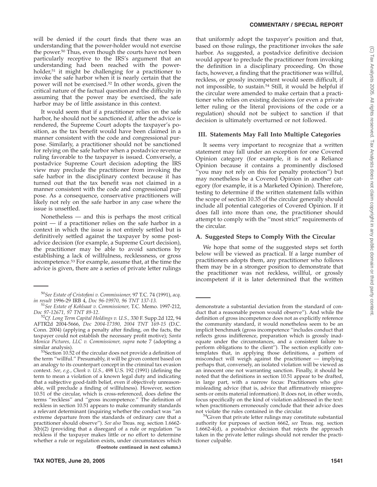will be denied if the court finds that there was an understanding that the power-holder would not exercise the power.50 Thus, even though the courts have not been particularly receptive to the IRS's argument that an understanding had been reached with the powerholder,<sup>51</sup> it might be challenging for a practitioner to invoke the safe harbor when it is nearly certain that the power will not be exercised.52 In other words, given the critical nature of the factual question and the difficulty in assuming that the power may be exercised, the safe harbor may be of little assistance in this context.

It would seem that if a practitioner relies on the safe harbor, he should not be sanctioned if, after the advice is rendered, the Supreme Court adopts the taxpayer's position, as the tax benefit would have been claimed in a manner consistent with the code and congressional purpose. Similarly, a practitioner should not be sanctioned for relying on the safe harbor when a postadvice revenue ruling favorable to the taxpayer is issued. Conversely, a postadvice Supreme Court decision adopting the IRS view may preclude the practitioner from invoking the safe harbor in the disciplinary context because it has turned out that the tax benefit was not claimed in a manner consistent with the code and congressional purpose. As a consequence, conservative practitioners will likely not rely on the safe harbor in any case where the issue is unsettled.

Nonetheless — and this is perhaps the most critical point — if a practitioner relies on the safe harbor in a context in which the issue is not entirely settled but is definitively settled against the taxpayer by some postadvice decision (for example, a Supreme Court decision), the practitioner may be able to avoid sanctions by establishing a lack of willfulness, recklessness, or gross incompetence.53 For example, assume that, at the time the advice is given, there are a series of private letter rulings

that uniformly adopt the taxpayer's position and that, based on those rulings, the practitioner invokes the safe harbor. As suggested, a postadvice definitive decision would appear to preclude the practitioner from invoking the definition in a disciplinary proceeding. On those facts, however, a finding that the practitioner was willful, reckless, or grossly incompetent would seem difficult, if not impossible, to sustain.54 Still, it would be helpful if the circular were amended to make certain that a practitioner who relies on existing decisions (or even a private letter ruling or the literal provisions of the code or a regulation) should not be subject to sanction if that decision is ultimately overturned or not followed.

#### **III. Statements May Fall Into Multiple Categories**

It seems very important to recognize that a written statement may fall under an exception for one Covered Opinion category (for example, it is not a Reliance Opinion because it contains a prominently disclosed ''you may not rely on this for penalty protection'') but may nonetheless be a Covered Opinion in another category (for example, it is a Marketed Opinion). Therefore, testing to determine if the written statement falls within the scope of section 10.35 of the circular generally should include all potential categories of Covered Opinion. If it does fall into more than one, the practitioner should attempt to comply with the ''most strict'' requirements of the circular.

#### **A. Suggested Steps to Comply With the Circular**

We hope that some of the suggested steps set forth below will be viewed as practical. If a large number of practitioners adopts them, any practitioner who follows them may be in a stronger position to demonstrate that the practitioner was not reckless, willful, or grossly incompetent if it is later determined that the written

<sup>50</sup>*See Estate of Cristofani v. Commissioner,* 97 T.C. 74 (1991), *acq.*

<sup>&</sup>lt;sup>51</sup> See Estate of Kohlsaat v. Commissioner, T.C. Memo. 1997-212, Doc 97-12671, 97 TNT 89-12.

*Doc 97-12671, 97 TNT 89-12*. <sup>52</sup>*Cf. Long Term Capital Holdings v. U.S.,* 330 F. Supp.2d 122, 94 AFTR2d 2004-5666, *Doc 2004-17390, 2004 TNT 169-15* (D.C. Conn. 2004) (applying a penalty after finding, on the facts, the taxpayer could not establish the necessary profit motive); *Santa Monica Pictures, LLC v. Commissioner, supra* note 7 (adopting a

 $53$ Section 10.52 of the circular does not provide a definition of the term ''willful.'' Presumably, it will be given content based on an analogy to its counterpart concept in the criminal tax evasion context. *See, e.g., Cheek v. U.S.,* 498 U.S. 192 (1991) (defining the term to mean a violation of a known legal duty and indicating that a subjective good-faith belief, even if objectively unreasonable, will preclude a finding of willfulness). However, section 10.51 of the circular, which is cross-referenced, does define the terms ''reckless'' and ''gross incompetence.'' The definition of reckless in section 10.51 appears to make community standards a relevant determinant (inquiring whether the conduct was ''an extreme departure from the standards of ordinary care that a practitioner should observe''). *See also* Treas. reg. section 1.6662- 3(b)(2) (providing that a disregard of a rule or regulation ''is reckless if the taxpayer makes little or no effort to determine whether a rule or regulation exists, under circumstances which **(Footnote continued in next column.)**

demonstrate a substantial deviation from the standard of conduct that a reasonable person would observe''). And while the definition of gross incompetence does not as explicitly reference the community standard, it would nonetheless seem to be an implicit benchmark (gross incompetence ''includes conduct that reflects gross indifference, preparation which is grossly inadequate under the circumstances, and a consistent failure to perform obligations to the client''). The section explicitly contemplates that, in applying those definitions, a pattern of misconduct will weigh against the practitioner  $-$  implying perhaps that, conversely, an isolated violation will be viewed as an innocent one not warranting sanction. Finally, it should be noted that the definitions in section 10.51 appear to be drafted, in large part, with a narrow focus: Practitioners who give misleading advice (that is, advice that affirmatively misrepresents or omits material information). It does not, in other words, focus specifically on the kind of violation addressed in the text: when practitioners erroneously conclude that their advice does not violate the rules contained in the circular.

<sup>&</sup>lt;sup>54</sup>Given that private letter rulings may constitute substantial authority for purposes of section 6662, *see* Treas. reg. section 1.6662-4(d), a postadvice decision that rejects the approach taken in the private letter rulings should not render the practitioner culpable.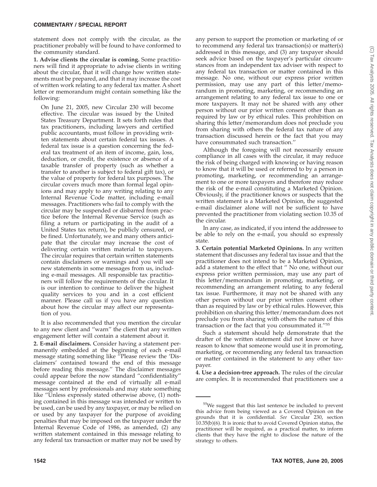statement does not comply with the circular, as the practitioner probably will be found to have conformed to the community standard.

**1. Advise clients the circular is coming.** Some practitioners will find it appropriate to advise clients in writing about the circular, that it will change how written statements must be prepared, and that it may increase the cost of written work relating to any federal tax matter. A short letter or memorandum might contain something like the following:

On June 21, 2005, new Circular 230 will become effective. The circular was issued by the United States Treasury Department. It sets forth rules that tax practitioners, including lawyers and certified public accountants, must follow in providing written statements about certain federal tax issues. A federal tax issue is a question concerning the federal tax treatment of an item of income, gain, loss, deduction, or credit, the existence or absence of a taxable transfer of property (such as whether a transfer to another is subject to federal gift tax), or the value of property for federal tax purposes. The circular covers much more than formal legal opinions and may apply to any writing relating to any Internal Revenue Code matter, including e-mail messages. Practitioners who fail to comply with the circular may be suspended or disbarred from practice before the Internal Revenue Service (such as filing a return or participating in the audit of a United States tax return), be publicly censured, or be fined. Unfortunately, we and many others anticipate that the circular may increase the cost of delivering certain written material to taxpayers. The circular requires that certain written statements contain disclaimers or warnings and you will see new statements in some messages from us, including e-mail messages. All responsible tax practitioners will follow the requirements of the circular. It is our intention to continue to deliver the highest quality services to you and in a cost efficient manner. Please call us if you have any question about how the circular may affect our representation of you.

It is also recommended that you mention the circular to any new client and ''warn'' the client that any written engagement letter will contain a statement about it.

**2. E-mail disclaimers.** Consider having a statement permanently embedded at the beginning of each e-mail message stating something like ''Please review the 'Disclaimers' contained toward the end of this message before reading this message.'' The disclaimer messages could appear before the now standard ''confidentiality'' message contained at the end of virtually all e-mail messages sent by professionals and may state something like ''Unless expressly stated otherwise above, (1) nothing contained in this message was intended or written to be used, can be used by any taxpayer, or may be relied on or used by any taxpayer for the purpose of avoiding penalties that may be imposed on the taxpayer under the Internal Revenue Code of 1986, as amended, (2) any written statement contained in this message relating to any federal tax transaction or matter may not be used by

any person to support the promotion or marketing of or to recommend any federal tax transaction(s) or matter(s) addressed in this message, and (3) any taxpayer should seek advice based on the taxpayer's particular circumstances from an independent tax adviser with respect to any federal tax transaction or matter contained in this message. No one, without our express prior written permission, may use any part of this letter/memorandum in promoting, marketing, or recommending an arrangement relating to any federal tax issue to one or more taxpayers. It may not be shared with any other person without our prior written consent other than as required by law or by ethical rules. This prohibition on sharing this letter/memorandum does not preclude you from sharing with others the federal tax nature of any transaction discussed herein or the fact that you may have consummated such transaction.''

Although the foregoing will not necessarily ensure compliance in all cases with the circular, it may reduce the risk of being charged with knowing or having reason to know that it will be used or referred to by a person in promoting, marketing, or recommending an arrangement to one or more taxpayers and therefore may reduce the risk of the e-mail constituting a Marketed Opinion. Obviously, if the practitioner knows or suspects that the written statement is a Marketed Opinion, the suggested e-mail disclaimer alone will not be sufficient to have prevented the practitioner from violating section 10.35 of the circular.

In any case, as indicated, if you intend the addressee to be able to rely on the e-mail, you should so expressly state.

**3. Certain potential Marketed Opinions.** In any written statement that discusses any federal tax issue and that the practitioner does not intend to be a Marketed Opinion, add a statement to the effect that '' No one, without our express prior written permission, may use any part of this letter/memorandum in promoting, marketing, or recommending an arrangement relating to any federal tax issue. Furthermore, it may not be shared with any other person without our prior written consent other than as required by law or by ethical rules. However, this prohibition on sharing this letter/memorandum does not preclude you from sharing with others the nature of this transaction or the fact that you consummated it.''55

Such a statement should help demonstrate that the drafter of the written statement did not know or have reason to know that someone would use it in promoting, marketing, or recommending any federal tax transaction or matter contained in the statement to any other taxpayer.

**4. Use a decision-tree approach.** The rules of the circular are complex. It is recommended that practitioners use a

<sup>55</sup>We suggest that this last sentence be included to prevent this advice from being viewed as a Covered Opinion on the grounds that it is confidential. *See* Circular 230, section 10.35(b)(6). It is ironic that to avoid Covered Opinion status, the practitioner will be required, as a practical matter, to inform clients that they have the right to disclose the nature of the strategy to others.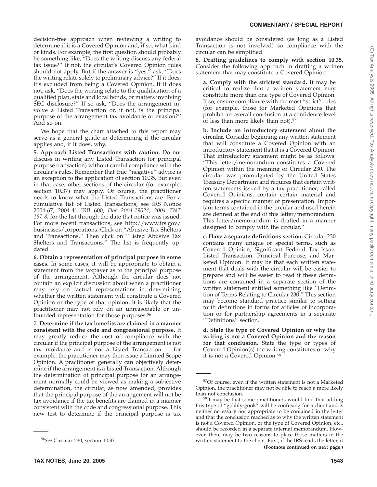decision-tree approach when reviewing a writing to determine if it is a Covered Opinion and, if so, what kind or kinds. For example, the first question should probably be something like, ''Does the writing discuss any federal tax issue?'' If not, the circular's Covered Opinion rules should not apply. But if the answer is "yes," ask, "Does the writing relate solely to preliminary advice?'' If it does, it's excluded from being a Covered Opinion. If it does not, ask, ''Does the writing relate to the qualification of a qualified plan, state and local bonds, or matters involving SEC disclosure?" If so ask, "Does the arrangement involve a Listed Transaction or, if not, is the principal purpose of the arrangement tax avoidance or evasion?'' And so on.

We hope that the chart attached to this report may serve as a general guide in determining if the circular applies and, if it does, why.

**5. Approach Listed Transactions with caution.** Do not discuss in writing any Listed Transaction (or principal purpose transaction) without careful compliance with the circular's rules. Remember that true ''negative'' advice is an exception to the application of section 10.35. But even in that case, other sections of the circular (for example, section 10.37) may apply. Of course, the practitioner needs to know what the Listed Transactions are. For a cumulative list of Listed Transactions, see IRS Notice 2004-67, 2004-41 IRB 600, *Doc 2004-19024, 2004 TNT 187-8,* for the list through the date that notice was issued. For more recent transactions, see http://www.irs.gov/ businesses/corporations. Click on ''Abusive Tax Shelters and Transactions.'' Then click on ''Listed Abusive Tax Shelters and Transactions.'' The list is frequently updated.

**6. Obtain a representation of principal purpose in some cases.** In some cases, it will be appropriate to obtain a statement from the taxpayer as to the principal purpose of the arrangement. Although the circular does not contain an explicit discussion about when a practitioner may rely on factual representations in determining whether the written statement will constitute a Covered Opinion or the type of that opinion, it is likely that the practitioner may not rely on an unreasonable or unfounded representation for those purposes.56

**7. Determine if the tax benefits are claimed in a manner consistent with the code and congressional purpose.** It may greatly reduce the cost of compliance with the circular if the principal purpose of the arrangement is not tax avoidance and is not a Listed Transaction — for example, the practitioner may then issue a Limited Scope Opinion. A practitioner generally can objectively determine if the arrangement is a Listed Transaction. Although the determination of principal purpose for an arrangement normally could be viewed as making a subjective determination, the circular, as now amended, provides that the principal purpose of the arrangement will not be tax avoidance if the tax benefits are claimed in a manner consistent with the code and congressional purpose. This new test to determine if the principal purpose is tax

avoidance should be considered (as long as a Listed Transaction is not involved) so compliance with the circular can be simplified.

**8. Drafting guidelines to comply with section 10.35.** Consider the following approach in drafting a written statement that may constitute a Covered Opinion.

**a. Comply with the strictest standard.** It may be critical to realize that a written statement may constitute more than one type of Covered Opinion. If so, ensure compliance with the most ''strict'' rules (for example, those for Marketed Opinions that prohibit an overall conclusion at a confidence level of less than more likely than not).<sup>57</sup>

**b. Include an introductory statement about the circular.** Consider beginning any written statement that will constitute a Covered Opinion with an introductory statement that it is a Covered Opinion. That introductory statement might be as follows: ''This letter/memorandum constitutes a Covered Opinion within the meaning of Circular 230. The circular was promulgated by the United States Treasury Department and requires that certain written statements issued by a tax practitioner, called Covered Opinions, contain certain material and requires a specific manner of presentation. Important terms contained in the circular and used herein are defined at the end of this letter/memorandum. This letter/memorandum is drafted in a manner designed to comply with the circular.''

**c. Have a separate definitions section.** Circular 230 contains many unique or special terms, such as Covered Opinion, Significant Federal Tax Issue, Listed Transaction, Principal Purpose, and Marketed Opinion. It may be that each written statement that deals with the circular will be easier to prepare and will be easier to read if these definitions are contained in a separate section of the written statement entitled something like ''Definition of Terms Relating to Circular 230.'' This section may become standard practice similar to setting forth definitions in forms for articles of incorporation or for partnership agreements in a separate "Definitions" section.

**d. State the type of Covered Opinion or why the writing is not a Covered Opinion and the reason for that conclusion.** State the type or types of Covered Opinion(s) the writing constitutes or why it is not a Covered Opinion.58

<sup>56</sup>*See* Circular 230, section 10.37.

<sup>57</sup>Of course, even if the written statement is not a Marketed Opinion, the practitioner may not be able to reach a more likely

than not conclusion.<br><sup>58</sup>It may be that some practitioners would find that adding this type of ''gobbly-gook'' will be confusing for a client and is neither necessary nor appropriate to be contained in the letter and that the conclusion reached as to why the written statement is not a Covered Opinion, or the type of Covered Opinion, etc., should be recorded in a separate internal memorandum. However, there may be two reasons to place those matters in the written statement to the client. First, if the IRS reads the letter, it **(Footnote continued on next page.)**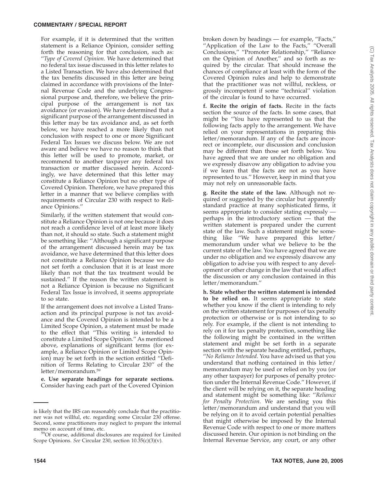For example, if it is determined that the written statement is a Reliance Opinion, consider setting forth the reasoning for that conclusion, such as: ''*Type of Covered Opinion.* We have determined that no federal tax issue discussed in this letter relates to a Listed Transaction. We have also determined that the tax benefits discussed in this letter are being claimed in accordance with provisions of the Internal Revenue Code and the underlying Congressional purpose and, therefore, we believe the principal purpose of the arrangement is not tax avoidance (or evasion). We have determined that a significant purpose of the arrangement discussed in this letter may be tax avoidance and, as set forth below, we have reached a more likely than not conclusion with respect to one or more Significant Federal Tax Issues we discuss below. We are not aware and believe we have no reason to think that this letter will be used to promote, market, or recommend to another taxpayer any federal tax transaction or matter discussed herein. Accordingly, we have determined that this letter may constitute a Reliance Opinion but no other type of Covered Opinion. Therefore, we have prepared this letter in a manner that we believe complies with requirements of Circular 230 with respect to Reliance Opinions.''

Similarly, if the written statement that would constitute a Reliance Opinion is not one because it does not reach a confidence level of at least more likely than not, it should so state. Such a statement might be something like: ''Although a significant purpose of the arrangement discussed herein may be tax avoidance, we have determined that this letter does not constitute a Reliance Opinion because we do not set forth a conclusion that it is at least more likely than not that the tax treatment would be sustained.'' If the reason the written statement is not a Reliance Opinion is because no Significant Federal Tax Issue is involved, it seems appropriate to so state.

If the arrangement does not involve a Listed Transaction and its principal purpose is not tax avoidance and the Covered Opinion is intended to be a Limited Scope Opinion, a statement must be made to the effect that ''This writing is intended to constitute a Limited Scope Opinion.'' As mentioned above, explanations of significant terms (for example, a Reliance Opinion or Limited Scope Opinion) may be set forth in the section entitled ''Definition of Terms Relating to Circular 230'' of the letter/memorandum.59

**e. Use separate headings for separate sections.** Consider having each part of the Covered Opinion broken down by headings — for example, ''Facts,'' ''Application of the Law to the Facts,'' ''Overall Conclusions,'' ''Promoter Relationship,'' ''Reliance on the Opinion of Another,'' and so forth as required by the circular. That should increase the chances of compliance at least with the form of the Covered Opinion rules and help to demonstrate that the practitioner was not willful, reckless, or grossly incompetent if some ''technical'' violation of the circular is found to have occurred.

**f. Recite the origin of facts.** Recite in the facts section the source of the facts. In some cases, that might be ''You have represented to us that the following facts apply to the arrangement. We have relied on your representations in preparing this letter/memorandum. If any of the facts are incorrect or incomplete, our discussion and conclusion may be different than those set forth below. You have agreed that we are under no obligation and we expressly disavow any obligation to advise you if we learn that the facts are not as you have represented to us.'' However, keep in mind that you may not rely on unreasonable facts.

**g. Recite the state of the law.** Although not required or suggested by the circular but apparently standard practice at many sophisticated firms, it seems appropriate to consider stating expressly perhaps in the introductory section — that the written statement is prepared under the current state of the law. Such a statement might be something like ''We have prepared this letter/ memorandum under what we believe to be the current state of the law. You have agreed that we are under no obligation and we expressly disavow any obligation to advise you with respect to any development or other change in the law that would affect the discussion or any conclusion contained in this letter/memorandum.''

**h. State whether the written statement is intended to be relied on.** It seems appropriate to state whether you know if the client is intending to rely on the written statement for purposes of tax penalty protection or otherwise or is not intending to so rely. For example, if the client is not intending to rely on it for tax penalty protection, something like the following might be contained in the written statement and might be set forth in a separate section with the separate heading entitled, perhaps, ''*No Reliance Intended*. You have advised us that you understand that nothing contained in this letter/ memorandum may be used or relied on by you (or any other taxpayer) for purposes of penalty protection under the Internal Revenue Code.'' However, if the client will be relying on it, the separate heading and statement might be something like: ''*Reliance for Penalty Protection*. We are sending you this letter/memorandum and understand that you will be relying on it to avoid certain potential penalties that might otherwise be imposed by the Internal Revenue Code with respect to one or more matters discussed herein. Our opinion is not binding on the Internal Revenue Service, any court, or any other

is likely that the IRS can reasonably conclude that the practitioner was not willful, etc. regarding some Circular 230 offense. Second, some practitioners may neglect to prepare the internal

 $59$ Of course, additional disclosures are required for Limited Scope Opinions. *See* Circular 230, section 10.35(c)(3)(v).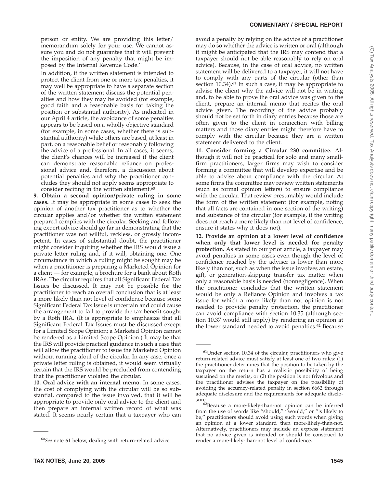person or entity. We are providing this letter/ memorandum solely for your use. We cannot assure you and do not guarantee that it will prevent the imposition of any penalty that might be imposed by the Internal Revenue Code.''

In addition, if the written statement is intended to protect the client from one or more tax penalties, it may well be appropriate to have a separate section of the written statement discuss the potential penalties and how they may be avoided (for example, good faith and a reasonable basis for taking the position or substantial authority). As indicated in our April 4 article, the avoidance of some penalties appears to be based on a wholly objective standard (for example, in some cases, whether there is substantial authority) while others are based, at least in part, on a reasonable belief or reasonably following the advice of a professional. In all cases, it seems, the client's chances will be increased if the client can demonstrate reasonable reliance on professional advice and, therefore, a discussion about potential penalties and why the practitioner concludes they should not apply seems appropriate to consider reciting in the written statement.<sup>60</sup>

**9. Obtain a second opinion/private ruling in some cases.** It may be appropriate in some cases to seek the opinion of another tax practitioner as to whether the circular applies and/or whether the written statement prepared complies with the circular. Seeking and following expert advice should go far in demonstrating that the practitioner was not willful, reckless, or grossly incompetent. In cases of substantial doubt, the practitioner might consider inquiring whether the IRS would issue a private letter ruling and, if it will, obtaining one. One circumstance in which a ruling might be sought may be when a practitioner is preparing a Marketed Opinion for a client — for example, a brochure for a bank about Roth IRAs. The circular requires that all Significant Federal Tax Issues be discussed. It may not be possible for the practitioner to reach an overall conclusion that is at least a more likely than not level of confidence because some Significant Federal Tax Issue is uncertain and could cause the arrangement to fail to provide the tax benefit sought by a Roth IRA. (It is appropriate to emphasize that all Significant Federal Tax Issues must be discussed except for a Limited Scope Opinion; a Marketed Opinion cannot be rendered as a Limited Scope Opinion.) It may be that the IRS will provide practical guidance in such a case that will allow the practitioner to issue the Marketed Opinion without running afoul of the circular. In any case, once a private letter ruling is obtained, it would seem virtually certain that the IRS would be precluded from contending that the practitioner violated the circular.

**10. Oral advice with an internal memo.** In some cases, the cost of complying with the circular will be so substantial, compared to the issue involved, that it will be appropriate to provide only oral advice to the client and then prepare an internal written record of what was stated. It seems nearly certain that a taxpayer who can avoid a penalty by relying on the advice of a practitioner may do so whether the advice is written or oral (although it might be anticipated that the IRS may contend that a taxpayer should not be able reasonably to rely on oral advice). Because, in the case of oral advice, no written statement will be delivered to a taxpayer, it will not have to comply with any parts of the circular (other than section 10.34).<sup>61</sup> In such a case, it may be appropriate to advise the client why the advice will not be in writing and, to be able to prove the oral advice was given to the client, prepare an internal memo that recites the oral advice given. The recording of the advice probably should not be set forth in diary entries because those are often given to the client in connection with billing matters and those diary entries might therefore have to comply with the circular because they are a written statement delivered to the client.

**11. Consider forming a Circular 230 committee.** Although it will not be practical for solo and many smallfirm practitioners, larger firms may wish to consider forming a committee that will develop expertise and be able to advise about compliance with the circular. At some firms the committee may review written statements (such as formal opinion letters) to ensure compliance with the circular. That review presumably would include the form of the written statement (for example, noting that all facts are contained in one section of the writing) and substance of the circular (for example, if the writing does not reach a more likely than not level of confidence, ensure it states why it does not).

**12. Provide an opinion at a lower level of confidence when only that lower level is needed for penalty protection.** As stated in our prior article, a taxpayer may avoid penalties in some cases even though the level of confidence reached by the adviser is lower than more likely than not, such as when the issue involves an estate, gift, or generation-skipping transfer tax matter when only a reasonable basis is needed (nonnegligence). When the practitioner concludes that the written statement would be only a Reliance Opinion and involves a tax issue for which a more likely than not opinion is not needed to provide penalty protection, the practitioner can avoid compliance with section 10.35 (although section 10.37 would still apply) by rendering an opinion at the lower standard needed to avoid penalties.<sup>62</sup> Because

<sup>60</sup>*See* note 61 below, dealing with return-related advice.

<sup>61</sup>Under section 10.34 of the circular, practitioners who give return-related advice must satisfy at least one of two rules: (1) the practitioner determines that the position to be taken by the taxpayer on the return has a realistic possibility of being sustained on the merits, or (2) the position is not frivolous and the practitioner advises the taxpayer on the possibility of avoiding the accuracy-related penalty in section 6662 through adequate disclosure and the requirements for adequate disclo-

sure.<br><sup>62</sup>Because a more-likely-than-not opinion can be inferred<br> $\frac{^{62}$ Because a more-likely-than-not opinion can be inferred from the use of words like ''should,'' ''would,'' or ''is likely to be,'' practitioners should avoid using such words when giving an opinion at a lower standard then more-likely-than-not. Alternatively, practitioners may include an express statement that no advice given is intended or should be construed to render a more-likely-than-not level of confidence.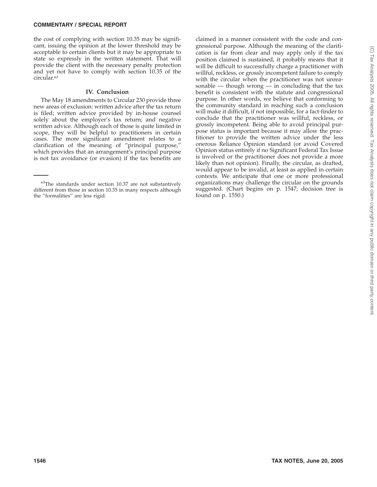the cost of complying with section 10.35 may be significant, issuing the opinion at the lower threshold may be acceptable to certain clients but it may be appropriate to state so expressly in the written statement. That will provide the client with the necessary penalty protection and yet not have to comply with section 10.35 of the circular.63

#### **IV. Conclusion**

The May 18 amendments to Circular 230 provide three new areas of exclusion: written advice after the tax return is filed; written advice provided by in-house counsel solely about the employer's tax return; and negative written advice. Although each of those is quite limited in scope, they will be helpful to practitioners in certain cases. The more significant amendment relates to a clarification of the meaning of ''principal purpose,'' which provides that an arrangement's principal purpose is not tax avoidance (or evasion) if the tax benefits are claimed in a manner consistent with the code and congressional purpose. Although the meaning of the clarification is far from clear and may apply only if the tax position claimed is sustained, it probably means that it will be difficult to successfully charge a practitioner with willful, reckless, or grossly incompetent failure to comply with the circular when the practitioner was not unreasonable  $-$  though wrong  $-$  in concluding that the tax benefit is consistent with the statute and congressional purpose. In other words, we believe that conforming to the community standard in reaching such a conclusion will make it difficult, if not impossible, for a fact-finder to conclude that the practitioner was willful, reckless, or grossly incompetent. Being able to avoid principal purpose status is important because it may allow the practitioner to provide the written advice under the less onerous Reliance Opinion standard (or avoid Covered Opinion status entirely if no Significant Federal Tax Issue is involved or the practitioner does not provide a more likely than not opinion). Finally, the circular, as drafted, would appear to be invalid, at least as applied in certain contexts. We anticipate that one or more professional organizations may challenge the circular on the grounds suggested. (Chart begins on p. 1547; decision tree is found on p. 1550.)

<sup>63</sup>The standards under section 10.37 are not substantively different from those in section 10.35 in many respects although the ''formalities'' are less rigid.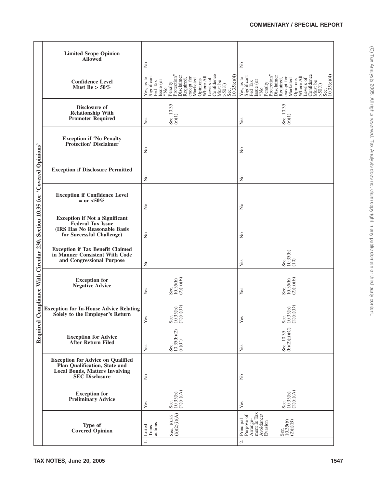|                                                                    | <b>Limited Scope Opinion</b><br><b>Allowed</b>                                                                                              | $\mathsf{S}^{\mathsf{o}}$                                                                                       |                                |                                                                                                                                                                                                                                |                                                       | $\mathsf{S}^{\mathsf{o}}$ |                                                  |                                                                                                                                                                                           |                       |                         |                                         |
|--------------------------------------------------------------------|---------------------------------------------------------------------------------------------------------------------------------------------|-----------------------------------------------------------------------------------------------------------------|--------------------------------|--------------------------------------------------------------------------------------------------------------------------------------------------------------------------------------------------------------------------------|-------------------------------------------------------|---------------------------|--------------------------------------------------|-------------------------------------------------------------------------------------------------------------------------------------------------------------------------------------------|-----------------------|-------------------------|-----------------------------------------|
|                                                                    | <b>Confidence Level</b><br>Must Be $> 50\%$                                                                                                 | $\begin{array}{l}{\rm Significant}\\ {\rm Fed\, Tax}\\ {\rm Issue\, (or}\\ {\rm ``No}\end{array}$<br>Yes, as to | Penalty<br>Protection'         | Disclaimer<br>Required, Required, $\frac{1}{\text{W}}$<br>$\frac{1}{\text{W}}$<br>$\frac{1}{\text{W}}$<br>$\frac{1}{\text{W}}$<br>$\frac{1}{\text{W}}$<br>$\frac{1}{\text{W}}$<br>$\frac{1}{\text{W}}$<br>$\frac{1}{\text{W}}$ | Confidence<br>Must be<br>>50%)<br>Sec.<br>10.35(e)(4) |                           |                                                  | Yes, as to<br>Significant Significant Red Tax<br>Issue (or<br>$\frac{1}{100}$ Protection"<br>Protection"<br>Disclaimer<br>Disclaimer<br>Required, Required, Required, Required, Required, | Opinions<br>Where All | Confidence<br>Levels of | Must be<br>>50%)<br>Sec.<br>10.35(e)(4) |
|                                                                    | Disclosure of<br><b>Relationship With</b><br><b>Promoter Required</b>                                                                       | Yes                                                                                                             | Sec. $10.35$<br>(e)(1)         |                                                                                                                                                                                                                                |                                                       | Yes                       |                                                  | Sec. 10.35<br>(e)(1)                                                                                                                                                                      |                       |                         |                                         |
|                                                                    | <b>Exception if 'No Penalty</b><br><b>Protection' Disclaimer</b>                                                                            | $\tilde{z}$                                                                                                     |                                |                                                                                                                                                                                                                                |                                                       | $\mathsf{S}^{\mathsf{o}}$ |                                                  |                                                                                                                                                                                           |                       |                         |                                         |
|                                                                    | <b>Exception if Disclosure Permitted</b>                                                                                                    | $\tilde{\mathbf{z}}$                                                                                            |                                |                                                                                                                                                                                                                                |                                                       | $\mathsf{S}^{\mathsf{o}}$ |                                                  |                                                                                                                                                                                           |                       |                         |                                         |
|                                                                    | <b>Exception if Confidence Level</b><br>$=$ or $<$ 50%                                                                                      | $\tilde{\mathbf{z}}$                                                                                            |                                |                                                                                                                                                                                                                                |                                                       | $\mathsf{S}^{\mathsf{o}}$ |                                                  |                                                                                                                                                                                           |                       |                         |                                         |
|                                                                    | <b>Exception if Not a Significant</b><br><b>Federal Tax Issue</b><br>(IRS Has No Reasonable Basis<br>for Successful Challenge)              | $\rm \stackrel{\circ}{\rm \bf Z}$                                                                               |                                |                                                                                                                                                                                                                                |                                                       | $\mathsf{S}^{\mathsf{o}}$ |                                                  |                                                                                                                                                                                           |                       |                         |                                         |
| Compliance With Circular 230, Section 10.35 for 'Covered Opinions' | <b>Exception if Tax Benefit Claimed</b><br>in Manner Consistent With Code<br>and Congressional Purpose                                      | $\rm \stackrel{\circ}{\rm \bf Z}$                                                                               |                                |                                                                                                                                                                                                                                |                                                       | Yes                       |                                                  | Sec.<br>10.35(b)<br>(10)                                                                                                                                                                  |                       |                         |                                         |
|                                                                    | <b>Exception for</b><br><b>Negative Advice</b>                                                                                              | Yes                                                                                                             | Sec.<br>10.35(b)<br>(2)(ii)(E) |                                                                                                                                                                                                                                |                                                       | Yes                       |                                                  | Sec.<br>10.35(b)<br>(2)(ü)(E)                                                                                                                                                             |                       |                         |                                         |
|                                                                    | <b>Exception for In-House Advice Relating</b><br>Solely to the Employer's Return                                                            | Yes                                                                                                             | Sec.<br>10.35(b)<br>(2)(ii)(D) |                                                                                                                                                                                                                                |                                                       | Yes                       |                                                  | $35(b)$<br>$\overline{11}$<br>$rac{3}{2}$                                                                                                                                                 |                       |                         |                                         |
| Required                                                           | <b>Exception for Advice<br/>After Return Filed</b>                                                                                          | Yes                                                                                                             | Sec.<br>10.35(b)(2)<br>(ii)(C) |                                                                                                                                                                                                                                |                                                       | Yes                       |                                                  | Sec. 10.35<br>(b)(2)(ii)(C)                                                                                                                                                               |                       |                         |                                         |
|                                                                    | <b>Exception for Advice on Qualified</b><br>Plan Qualification, State and<br><b>Local Bonds, Matters Involving</b><br><b>SEC Disclosure</b> | $\rm \stackrel{\circ}{\rm \bf Z}$                                                                               |                                |                                                                                                                                                                                                                                |                                                       | $\mathsf{S}^{\mathsf{o}}$ |                                                  |                                                                                                                                                                                           |                       |                         |                                         |
|                                                                    | <b>Exception for</b><br><b>Preliminary Advice</b>                                                                                           | Yes                                                                                                             | Sec.<br>10.35(b)<br>(2)(ii)(A) |                                                                                                                                                                                                                                |                                                       | Yes                       |                                                  | Sec.<br>10.35(b)<br>(2)(ii)(A)                                                                                                                                                            |                       |                         |                                         |
|                                                                    | Type of<br><b>Covered</b> Opinion                                                                                                           | ${\rm Instead}\atop{\rm Trans-}\atop\rm actions$                                                                | Sec. 10.35<br>(b)(2)(i)(A)     |                                                                                                                                                                                                                                |                                                       | Purpose of<br>Principal   | Arrange-<br>ment Is Tax<br>Avoidance/<br>Evasion | Sec.<br>10.35(b)<br>(2)(i)(B)                                                                                                                                                             |                       |                         |                                         |
|                                                                    |                                                                                                                                             | $\equiv$                                                                                                        |                                |                                                                                                                                                                                                                                |                                                       | $\sim$                    |                                                  |                                                                                                                                                                                           |                       |                         |                                         |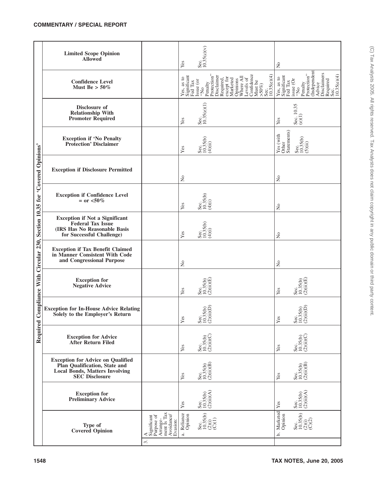|                                                                    | <b>Limited Scope Opinion</b><br><b>Allowed</b>                                                                                              |                                                                                                                                                                                                    | Yes                              | Sec.<br>  10.35(c)(v)                                                                                                                                                                                                                  | $\tilde{z}$                       |                                                                                                                                                                       |
|--------------------------------------------------------------------|---------------------------------------------------------------------------------------------------------------------------------------------|----------------------------------------------------------------------------------------------------------------------------------------------------------------------------------------------------|----------------------------------|----------------------------------------------------------------------------------------------------------------------------------------------------------------------------------------------------------------------------------------|-----------------------------------|-----------------------------------------------------------------------------------------------------------------------------------------------------------------------|
|                                                                    | <b>Confidence Level</b><br>Must Be $> 50\%$                                                                                                 |                                                                                                                                                                                                    |                                  | Yes, as to<br>Significant Significant Significant Significant Significant Signal<br>Is a sequence of the Protection" Protection Protection<br>Protection Recept for Algorithms (Section Signal Signal Signal Signal Signal Signal Sign |                                   | Yes, as to<br>Significant Significant Fed Tax<br>Fed Tax<br>Penalty Protection"<br>Protection" Disclaimers<br>Advice<br>Disclaimers Required Rec.<br>Rec. 10.35(e)(4) |
|                                                                    | Disclosure of<br><b>Relationship With</b><br><b>Promoter Required</b>                                                                       |                                                                                                                                                                                                    | Yes                              | Sec.<br>  10.35(e)(1)                                                                                                                                                                                                                  | Yes                               | Sec. 10.35<br>(e)(1)                                                                                                                                                  |
|                                                                    | <b>Exception if 'No Penalty<br/>Protection' Disclaimer</b>                                                                                  |                                                                                                                                                                                                    | Yes                              | Sec.<br>10.35(b)<br>(4)(ii)                                                                                                                                                                                                            | Other<br>Statements)<br>Yes (with | Sec.<br>10.35(b)<br>(5)(ii)                                                                                                                                           |
|                                                                    | <b>Exception if Disclosure Permitted</b>                                                                                                    |                                                                                                                                                                                                    | $\tilde{z}$                      |                                                                                                                                                                                                                                        | $\tilde{z}$                       |                                                                                                                                                                       |
|                                                                    | <b>Exception if Confidence Level</b><br>$=$ or $< 50\%$                                                                                     |                                                                                                                                                                                                    | Yes                              | Sec.<br>10.35(b)<br>(4)(i)                                                                                                                                                                                                             | $\tilde{z}$                       |                                                                                                                                                                       |
|                                                                    | <b>Exception if Not a Significant Federal Tax Issue</b><br>(IRS Has No Reasonable Basis<br>for Successful Challenge)                        |                                                                                                                                                                                                    | Yes                              | Sec.<br>10.35(b)<br>(4)(i)                                                                                                                                                                                                             | $\tilde{z}$                       |                                                                                                                                                                       |
|                                                                    | <b>Exception if Tax Benefit Claimed<br/>in Manner Consistent With Code</b><br>and Congressional Purpose                                     |                                                                                                                                                                                                    | $\tilde{z}$                      |                                                                                                                                                                                                                                        | $\tilde{z}$                       |                                                                                                                                                                       |
| Compliance With Circular 230, Section 10.35 for 'Covered Opinions' | <b>Exception for</b><br><b>Negative Advice</b>                                                                                              |                                                                                                                                                                                                    | Yes                              | Sec.<br>10.35(b)<br>(2)(ii)(E)                                                                                                                                                                                                         | $\mathbf{Yes}$                    | Sec.<br>10.35(b)<br>(2)(ii)(E)                                                                                                                                        |
|                                                                    | <b>Exception for In-House Advice Relating</b><br>Solely to the Employer's Return                                                            |                                                                                                                                                                                                    | Yes                              | ec.<br>0.35(b)<br>!)(ii)(D)<br>ଝି⊟ପି                                                                                                                                                                                                   | Yes                               | ec.<br>0.35(b)<br>?)(ii)(D)<br>ಜಿ=ಲ                                                                                                                                   |
| Required                                                           | <b>Exception for Advice</b><br><b>After Return Filed</b>                                                                                    |                                                                                                                                                                                                    | Yes                              | Sec.<br>10.35(b)<br>(2)(ii)(C)                                                                                                                                                                                                         | Yes                               | Sec.<br>10.35(b)<br>(2)(ii)(C)                                                                                                                                        |
|                                                                    | <b>Exception for Advice on Qualified</b><br>Plan Qualification, State and<br><b>Local Bonds, Matters Involving</b><br><b>SEC Disclosure</b> |                                                                                                                                                                                                    | Yes                              | Sec.<br>10.35(b)<br>(2)(ii)(B)                                                                                                                                                                                                         | $\mathbf{Yes}$                    | Sec.<br>10.35(b)<br>(2)(ii)(B)                                                                                                                                        |
|                                                                    | <b>Exception for</b><br><b>Preliminary Advice</b>                                                                                           |                                                                                                                                                                                                    | Yes                              | Sec.<br>10.35(b)<br>(2)(ii)(A)                                                                                                                                                                                                         | Yes                               | Sec.<br>10.35(b)<br>(2)(ii)(A)                                                                                                                                        |
|                                                                    | Type of<br><b>Covered Opinion</b>                                                                                                           | $\begin{array}{lcl} \mathbf{A} & \\ \text{Significant} & \\ \text{Purpose of} & \\ \text{Arrange-} & \\ \text{ment Is Tax} & \\ \text{Avoid} & \\ \text{Avoid} & \\ \end{array}$<br>Evasion:<br>3. | Reliance<br>Opinion<br>$\vec{a}$ | Sec.<br>10.35(b)<br>(2)(i)<br>(C)(1)                                                                                                                                                                                                   | Marketed<br>Opinion<br>.<br>م     | Sec.<br>10.35(b)<br>(2)(i)<br>(C)(2)                                                                                                                                  |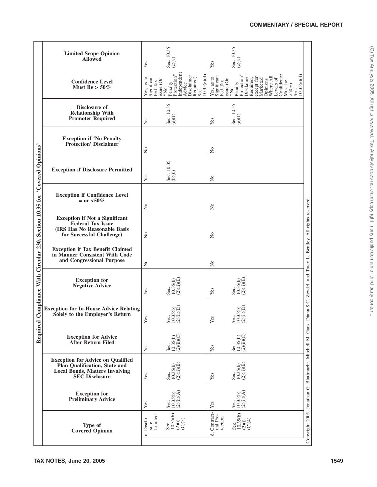|                                                                                | <b>Limited Scope Opinion</b><br><b>Allowed</b>                                                                                       | Yes                                                                                   | Sec. 10.35<br>(c)(v)                                                                              | Yes                                  | Sec. 10.35<br>(c)(v)                                                                                                                                                                                                  |                                                                                                                         |  |  |  |  |
|--------------------------------------------------------------------------------|--------------------------------------------------------------------------------------------------------------------------------------|---------------------------------------------------------------------------------------|---------------------------------------------------------------------------------------------------|--------------------------------------|-----------------------------------------------------------------------------------------------------------------------------------------------------------------------------------------------------------------------|-------------------------------------------------------------------------------------------------------------------------|--|--|--|--|
|                                                                                | <b>Confidence Level</b><br>Must Be $> 50\%$                                                                                          | Yes, as to<br>Significant<br>Fed Tax<br>$\mathrm{is} \mathrm{use}$ (Or $\mathrm{N}_0$ | Independent<br>Protection"<br>10.35(e)(4)<br>Advice<br>Disclaimer<br>Required)<br>Sec.<br>Penalty | Yes, as to<br>Significant<br>Fed Tax | Confidence<br>Penalty<br>Protection"<br>10.35(e)(4)<br>Disclaimer<br>except for<br>Marketed<br>Opinions<br>Where All<br>Levels of<br>Required,<br>issue (Or $^{\prime\prime\prime\prime}$<br>Must be<br>>50%)<br>Sec. |                                                                                                                         |  |  |  |  |
|                                                                                | Disclosure of<br><b>Relationship With</b><br><b>Promoter Required</b>                                                                | Yes                                                                                   | Sec. $10.35$<br>(e)(1)                                                                            | Yes                                  | Sec. 10.35<br>(e)(1)                                                                                                                                                                                                  |                                                                                                                         |  |  |  |  |
|                                                                                | <b>Exception if 'No Penalty</b><br><b>Protection' Disclaimer</b>                                                                     | $\overline{\mathsf{z}}$                                                               |                                                                                                   | $\tilde{\mathbf{z}}$                 |                                                                                                                                                                                                                       |                                                                                                                         |  |  |  |  |
|                                                                                | <b>Exception if Disclosure Permitted</b>                                                                                             | Yes                                                                                   | Sec. 10.35<br>(b)(6)                                                                              | $\tilde{z}$                          |                                                                                                                                                                                                                       |                                                                                                                         |  |  |  |  |
|                                                                                | <b>Exception if Confidence Level</b><br>$=$ or $< 50\%$                                                                              | $\overline{\mathsf{z}}$                                                               |                                                                                                   | $\overline{\mathsf{X}}$              |                                                                                                                                                                                                                       |                                                                                                                         |  |  |  |  |
| Compliance With Circular 230, Section 10.35 for 'Covered Opinions'<br>Required | <b>Exception if Not a Significant</b><br><b>Federal Tax Issue</b><br>(IRS Has No Reasonable Basis<br>for Successful Challenge)       | $\overline{\mathsf{z}}$                                                               |                                                                                                   | $\tilde{z}$                          |                                                                                                                                                                                                                       |                                                                                                                         |  |  |  |  |
|                                                                                | <b>Exception if Tax Benefit Claimed</b><br>in Manner Consistent With Code<br>and Congressional Purpose                               | $\tilde{z}$                                                                           |                                                                                                   | $\tilde{\mathbf{z}}$                 |                                                                                                                                                                                                                       |                                                                                                                         |  |  |  |  |
|                                                                                | <b>Exception for</b><br><b>Negative Advice</b>                                                                                       | Yes                                                                                   | Sec.<br>10.35(b)<br>(2)(ii)(E)                                                                    | Yes                                  | Sec.<br>10.35(b)<br>(2)(ii)(E)                                                                                                                                                                                        |                                                                                                                         |  |  |  |  |
|                                                                                | <b>Exception for In-House Advice Relating</b><br>Solely to the Employer's Return                                                     | Yes                                                                                   | $\lim_{i \to \infty}$<br>5(b)<br>8030                                                             | Yes                                  | $\mathrm{ii}$ ) $\mathrm{(D)}$<br>Sec.<br>10.35(b)<br>(2)(ii)(D                                                                                                                                                       |                                                                                                                         |  |  |  |  |
|                                                                                | <b>Exception for Advice</b><br>After Return Filed                                                                                    | Yes                                                                                   | Sec.<br>10.35(b)<br>(2)(ii)(C)                                                                    | Yes                                  | Sec.<br>10.35(b)<br>(2)(ii)(C)                                                                                                                                                                                        |                                                                                                                         |  |  |  |  |
|                                                                                | <b>Exception for Advice on Qualified</b><br>Plan Qualification, State and<br>Local Bonds, Matters Involving<br><b>SEC</b> Disclosure | Yes                                                                                   | Sec.<br>10.35(b)<br>(2)(ii)(B)                                                                    | Yes                                  | Sec.<br>10.35(b)<br>(2)(ii)(B)                                                                                                                                                                                        |                                                                                                                         |  |  |  |  |
|                                                                                | <b>Exception for</b><br><b>Preliminary Advice</b>                                                                                    | Yes                                                                                   | Sec.<br>10.35(b)<br>(2)(ii)(A)                                                                    | Yes                                  | Sec.<br>10.35(b)<br>(2)(ii)(A)                                                                                                                                                                                        |                                                                                                                         |  |  |  |  |
|                                                                                | Type of<br><b>Covered Opinion</b>                                                                                                    | sure<br>Limited<br>c. Disclo-                                                         | Sec.<br>10.35(b)<br>(2)(i)<br>(C)(3)                                                              | $d.$ Contract-ual Pro-<br>tection    | Sec.<br>10.35(b)<br>$\begin{pmatrix} 1 & 0 \\ 0 & 0 \\ 0 & 0 \end{pmatrix}$                                                                                                                                           | Copyright 2005. Jonathan G. Blattmachr, Mitchell M. Gans, Diana S.C. Zeydel, and Tracy L. Bentley. All rights reserved. |  |  |  |  |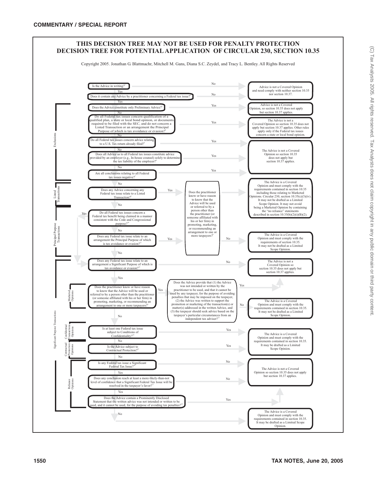

Copyright 2005. Jonathan G. Blattmachr, Mitchell M. Gans, Diana S.C. Zeydel, and Tracy L. Bentley. All Rights Reserved